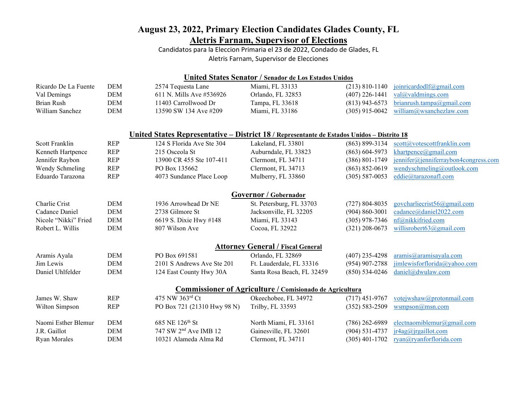## **August 23, 2022, Primary Election Candidates Glades County, FL Aletris Farnam, Supervisor of Elections**

Candidatos para la Eleccion Primaria el 23 de 2022, Condado de Glades, FL Aletris Farnam, Supervisor de Elecciones

| United States Senator / Senador de Los Estados Unidos |            |                                                                                            |                                                          |                    |                                      |  |  |  |  |  |
|-------------------------------------------------------|------------|--------------------------------------------------------------------------------------------|----------------------------------------------------------|--------------------|--------------------------------------|--|--|--|--|--|
| Ricardo De La Fuente                                  | <b>DEM</b> | 2574 Tequesta Lane                                                                         | Miami, FL 33133                                          | $(213) 810 - 1140$ | joinricardodlf@gmail.com             |  |  |  |  |  |
| Val Demings                                           | <b>DEM</b> | 611 N. Mills Ave #536926                                                                   | Orlando, FL 32853                                        | $(407)$ 226-1441   | val@valdmings.com                    |  |  |  |  |  |
| <b>Brian Rush</b>                                     | <b>DEM</b> | 11403 Carrollwood Dr                                                                       | Tampa, FL 33618                                          | $(813)$ 943-6573   | brianrush.tampa@gmail.com            |  |  |  |  |  |
| William Sanchez                                       | <b>DEM</b> | 13590 SW 134 Ave #209                                                                      | Miami, FL 33186                                          | $(305)$ 915-0042   | william@wsanchezlaw.com              |  |  |  |  |  |
|                                                       |            | United States Representative – District 18 / Representante de Estados Unidos – Distrito 18 |                                                          |                    |                                      |  |  |  |  |  |
| Scott Franklin                                        | <b>REP</b> | 124 S Florida Ave Ste 304                                                                  | Lakeland, FL 33801                                       | $(863) 899 - 3134$ | scott@votescottfranklin.com          |  |  |  |  |  |
| Kenneth Hartpence                                     | <b>REP</b> | 215 Osceola St                                                                             | Auburndale, FL 33823                                     | $(863) 604 - 5973$ | khartpence@gmail.com                 |  |  |  |  |  |
| Jennifer Raybon                                       | <b>REP</b> | 13900 CR 455 Ste 107-411                                                                   | Clermont, FL 34711                                       | $(386) 801 - 1749$ | jennifer@jenniferraybon4congress.com |  |  |  |  |  |
| Wendy Schmeling                                       | <b>REP</b> | PO Box 135662                                                                              | Clermont, FL 34713                                       | $(863) 852 - 0619$ | wendyschmeling@outlook.com           |  |  |  |  |  |
| Eduardo Tarazona                                      | <b>REP</b> | 4073 Sundance Place Loop                                                                   | Mulberry, FL 33860                                       | $(305) 587 - 0053$ | eddie@tarazonafl.com                 |  |  |  |  |  |
|                                                       |            |                                                                                            | Governor / Gobernador                                    |                    |                                      |  |  |  |  |  |
| Charlie Crist                                         | <b>DEM</b> | 1936 Arrowhead Dr NE                                                                       | St. Petersburg, FL 33703                                 | $(727) 804 - 8035$ | govcharliecrist56@gmail.com          |  |  |  |  |  |
| Cadance Daniel                                        | <b>DEM</b> | 2738 Gilmore St                                                                            | Jacksonville, FL 32205                                   | $(904) 860 - 3001$ | cadance@daniel2022.com               |  |  |  |  |  |
| Nicole "Nikki" Fried                                  | <b>DEM</b> | 6619 S. Dixie Hwy #148                                                                     | Miami, FL 33143                                          | $(305)$ 978-7346   | nf@nikkifried.com                    |  |  |  |  |  |
| Robert L. Willis                                      | <b>DEM</b> | 807 Wilson Ave                                                                             | Cocoa, FL 32922                                          | $(321)$ 208-0673   | willisrobert63@gmail.com             |  |  |  |  |  |
|                                                       |            |                                                                                            | <b>Attorney General / Fiscal General</b>                 |                    |                                      |  |  |  |  |  |
| Aramis Ayala                                          | <b>DEM</b> | PO Box 691581                                                                              | Orlando, FL 32869                                        | $(407)$ 235-4298   | aramis@aramisayala.com               |  |  |  |  |  |
| Jim Lewis                                             | <b>DEM</b> | 2101 S Andrews Ave Ste 201                                                                 | Ft. Lauderdale, FL 33316                                 | $(954)$ 907-2788   | jimlewisforflorida@yahoo.com         |  |  |  |  |  |
| Daniel Uhlfelder                                      | <b>DEM</b> | 124 East County Hwy 30A                                                                    | Santa Rosa Beach, FL 32459                               | $(850) 534 - 0246$ | daniel@dwulaw.com                    |  |  |  |  |  |
|                                                       |            |                                                                                            | Commissioner of Agriculture / Comisionado de Agricultura |                    |                                      |  |  |  |  |  |
| James W. Shaw                                         | <b>REP</b> | 475 NW 363rd Ct                                                                            | Okeechobee, FL 34972                                     | $(717)$ 451-9767   | votejwshaw@protonmail.com            |  |  |  |  |  |
| Wilton Simpson                                        | <b>REP</b> | PO Box 721 (21310 Hwy 98 N)                                                                | Trilby, FL 33593                                         | $(352) 583 - 2509$ | wsmpson(a)msn.com                    |  |  |  |  |  |
| Naomi Esther Blemur                                   | <b>DEM</b> | 685 NE 126th St                                                                            | North Miami, FL 33161                                    | $(786)$ 262-6989   | electnaomiblemur@gmail.com           |  |  |  |  |  |
| J.R. Gaillot                                          | <b>DEM</b> | 747 SW 2 <sup>nd</sup> Ave IMB 12                                                          | Gainesville, FL 32601                                    | $(904) 531 - 4737$ | ir4ag@irgaillot.com                  |  |  |  |  |  |
| <b>Ryan Morales</b>                                   | <b>DEM</b> | 10321 Alameda Alma Rd                                                                      | Clermont, FL 34711                                       | $(305)$ 401-1702   | ryan@ryanforflorida.com              |  |  |  |  |  |